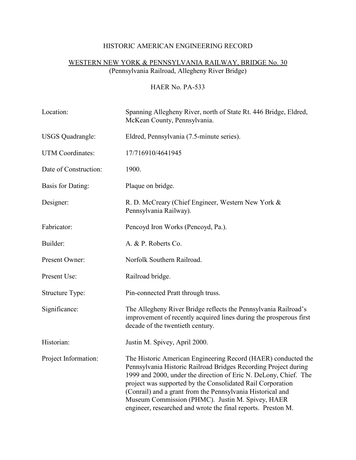# HISTORIC AMERICAN ENGINEERING RECORD

# WESTERN NEW YORK & PENNSYLVANIA RAILWAY, BRIDGE No. 30 (Pennsylvania Railroad, Allegheny River Bridge)

## HAER No. PA-533

| Location:               | Spanning Allegheny River, north of State Rt. 446 Bridge, Eldred,<br>McKean County, Pennsylvania.                                                                                                                                                                                                                                                                                                                                                     |
|-------------------------|------------------------------------------------------------------------------------------------------------------------------------------------------------------------------------------------------------------------------------------------------------------------------------------------------------------------------------------------------------------------------------------------------------------------------------------------------|
| <b>USGS</b> Quadrangle: | Eldred, Pennsylvania (7.5-minute series).                                                                                                                                                                                                                                                                                                                                                                                                            |
| UTM Coordinates:        | 17/716910/4641945                                                                                                                                                                                                                                                                                                                                                                                                                                    |
| Date of Construction:   | 1900.                                                                                                                                                                                                                                                                                                                                                                                                                                                |
| Basis for Dating:       | Plaque on bridge.                                                                                                                                                                                                                                                                                                                                                                                                                                    |
| Designer:               | R. D. McCreary (Chief Engineer, Western New York &<br>Pennsylvania Railway).                                                                                                                                                                                                                                                                                                                                                                         |
| Fabricator:             | Pencoyd Iron Works (Pencoyd, Pa.).                                                                                                                                                                                                                                                                                                                                                                                                                   |
| Builder:                | A. & P. Roberts Co.                                                                                                                                                                                                                                                                                                                                                                                                                                  |
| Present Owner:          | Norfolk Southern Railroad.                                                                                                                                                                                                                                                                                                                                                                                                                           |
| Present Use:            | Railroad bridge.                                                                                                                                                                                                                                                                                                                                                                                                                                     |
| Structure Type:         | Pin-connected Pratt through truss.                                                                                                                                                                                                                                                                                                                                                                                                                   |
| Significance:           | The Allegheny River Bridge reflects the Pennsylvania Railroad's<br>improvement of recently acquired lines during the prosperous first<br>decade of the twentieth century.                                                                                                                                                                                                                                                                            |
| Historian:              | Justin M. Spivey, April 2000.                                                                                                                                                                                                                                                                                                                                                                                                                        |
| Project Information:    | The Historic American Engineering Record (HAER) conducted the<br>Pennsylvania Historic Railroad Bridges Recording Project during<br>1999 and 2000, under the direction of Eric N. DeLony, Chief. The<br>project was supported by the Consolidated Rail Corporation<br>(Conrail) and a grant from the Pennsylvania Historical and<br>Museum Commission (PHMC). Justin M. Spivey, HAER<br>engineer, researched and wrote the final reports. Preston M. |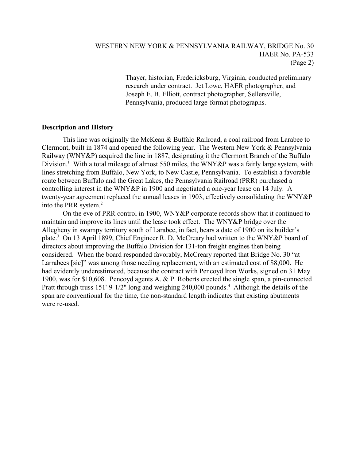Thayer, historian, Fredericksburg, Virginia, conducted preliminary research under contract. Jet Lowe, HAER photographer, and Joseph E. B. Elliott, contract photographer, Sellersville, Pennsylvania, produced large-format photographs.

### Description and History

This line was originally the McKean & Buffalo Railroad, a coal railroad from Larabee to Clermont, built in 1874 and opened the following year. The Western New York & Pennsylvania Railway (WNY&P) acquired the line in 1887, designating it the Clermont Branch of the Buffalo Division.<sup>1</sup> With a total mileage of almost 550 miles, the WNY&P was a fairly large system, with lines stretching from Buffalo, New York, to New Castle, Pennsylvania. To establish a favorable route between Buffalo and the Great Lakes, the Pennsylvania Railroad (PRR) purchased a controlling interest in the WNY&P in 1900 and negotiated a one-year lease on 14 July. A twenty-year agreement replaced the annual leases in 1903, effectively consolidating the WNY&P into the PRR system.<sup>2</sup>

On the eve of PRR control in 1900, WNY&P corporate records show that it continued to maintain and improve its lines until the lease took effect. The WNY&P bridge over the Allegheny in swampy territory south of Larabee, in fact, bears a date of 1900 on its builder's plate.<sup>3</sup> On 13 April 1899, Chief Engineer R. D. McCreary had written to the WNY&P board of directors about improving the Buffalo Division for 131-ton freight engines then being considered. When the board responded favorably, McCreary reported that Bridge No. 30 "at Larrabees [sic]" was among those needing replacement, with an estimated cost of \$8,000. He had evidently underestimated, because the contract with Pencoyd Iron Works, signed on 31 May 1900, was for \$10,608. Pencoyd agents A. & P. Roberts erected the single span, a pin-connected Pratt through truss 151'-9-1/2" long and weighing 240,000 pounds.<sup>4</sup> Although the details of the span are conventional for the time, the non-standard length indicates that existing abutments were re-used.